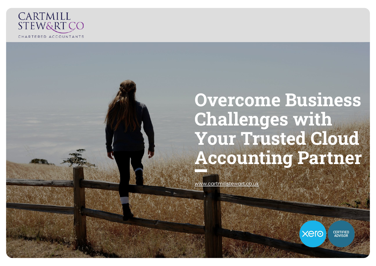

# **Overcome Business Challenges with Your Trusted Cloud Accounting Partner**

[www.cartmillstewart.co.uk](http://www.cartmillstewart.co.uk/)

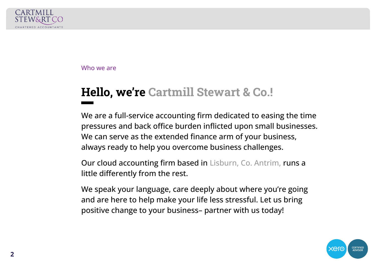

Who we are

# **Hello, we're Cartmill Stewart & Co.!**

We are a full-service accounting firm dedicated to easing the time pressures and back office burden inflicted upon small businesses. We can serve as the extended finance arm of your business, always ready to help you overcome business challenges.

Our cloud accounting firm based in Lisburn, Co. Antrim, runs a little differently from the rest.

We speak your language, care deeply about where you're going and are here to help make your life less stressful. Let us bring positive change to your business– partner with us today!

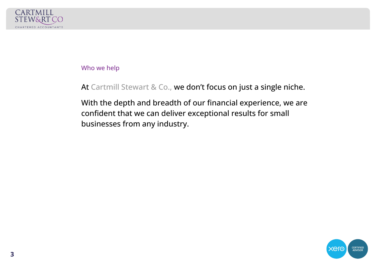

#### Who we help

At Cartmill Stewart & Co., we don't focus on just a single niche.

With the depth and breadth of our financial experience, we are confident that we can deliver exceptional results for small businesses from any industry.

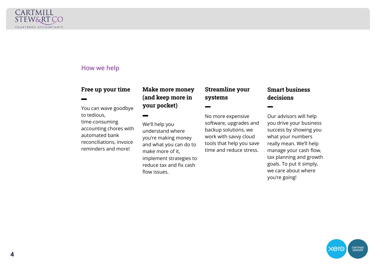

#### How we help

#### **Free up your time**

You can wave goodbye to tedious, time-consuming accounting chores with automated bank reconciliations, invoice reminders and more!

**Make more money (and keep more in your pocket)**

We'll help you understand where you're making money and what you can do to make more of it, implement strategies to reduce tax and fix cash flow issues.

**Streamline your systems**

No more expensive software, upgrades and backup solutions, we work with savvy cloud tools that help you save time and reduce stress.

#### **Smart business decisions**

Our advisors will help you drive your business success by showing you what your numbers really mean. We'll help manage your cash flow, tax planning and growth goals. To put it simply, we care about where you're going!

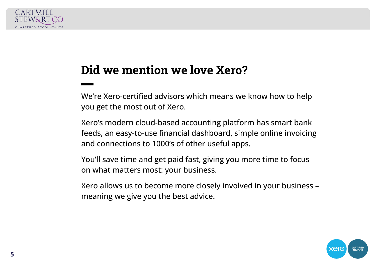

## **Did we mention we love Xero?**

We're Xero-certified advisors which means we know how to help you get the most out of Xero.

Xero's modern cloud-based accounting platform has smart bank feeds, an easy-to-use financial dashboard, simple online invoicing and connections to 1000's of other useful apps.

You'll save time and get paid fast, giving you more time to focus on what matters most: your business.

Xero allows us to become more closely involved in your business – meaning we give you the best advice.

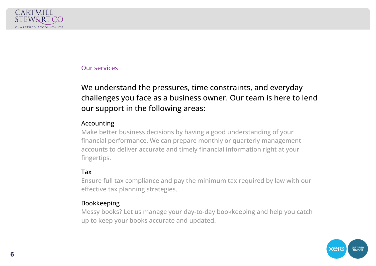

#### Our services

### We understand the pressures, time constraints, and everyday challenges you face as a business owner. Our team is here to lend our support in the following areas:

#### Accounting

Make better business decisions by having a good understanding of your financial performance. We can prepare monthly or quarterly management accounts to deliver accurate and timely financial information right at your fingertips.

#### Tax

Ensure full tax compliance and pay the minimum tax required by law with our effective tax planning strategies.

#### Bookkeeping

Messy books? Let us manage your day-to-day bookkeeping and help you catch up to keep your books accurate and updated.

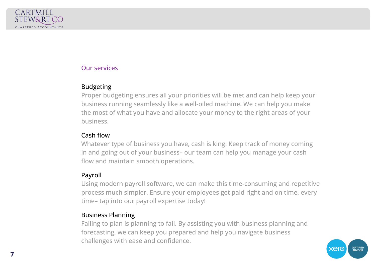

#### Our services

#### Budgeting

Proper budgeting ensures all your priorities will be met and can help keep your business running seamlessly like a well-oiled machine. We can help you make the most of what you have and allocate your money to the right areas of your business.

#### Cash flow

Whatever type of business you have, cash is king. Keep track of money coming in and going out of your business– our team can help you manage your cash flow and maintain smooth operations.

#### Payroll

Using modern payroll software, we can make this time-consuming and repetitive process much simpler. Ensure your employees get paid right and on time, every time– tap into our payroll expertise today!

#### Business Planning

Failing to plan is planning to fail. By assisting you with business planning and forecasting, we can keep you prepared and help you navigate business challenges with ease and confidence.

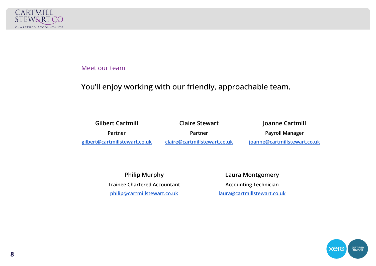

#### Meet our team

#### You'll enjoy working with our friendly, approachable team.

| <b>Gilbert Cartmill</b>       | <b>Claire Stewart</b>        | Joanne Cartmill              |
|-------------------------------|------------------------------|------------------------------|
| Partner                       | Partner                      | <b>Payroll Manager</b>       |
| gilbert@cartmillstewart.co.uk | claire@cartmillstewart.co.uk | joanne@cartmillstewart.co.uk |

**Philip Murphy Trainee Chartered Accountant [philip@cartmillstewart.co.uk](mailto:philip@cartmillstewart.co.uk)**

**Laura Montgomery Accounting Technician [laura@cartmillstewart.co.uk](mailto:laura@cartmillstewart.co.uk)** 

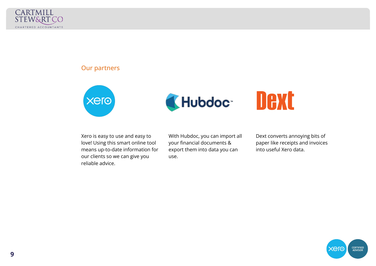

#### Our partners





# Dext

Xero is easy to use and easy to love! Using this smart online tool means up-to-date information for our clients so we can give you reliable advice.

With Hubdoc, you can import all your financial documents & export them into data you can use.

Dext converts annoying bits of paper like receipts and invoices into useful Xero data.